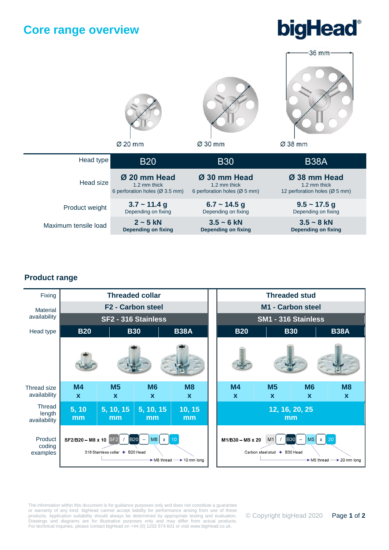### **Core range overview**





### **Product range**



The information within this document is for guidance purposes only and does not constitute a guarantee or warranty of any kind. bigHead cannot accept liability for performance arising from use of these products. Application suitability should always be determined by appropriate testing and evaluation. Drawings and diagrams are for illustrative purposes only and may differ from actual products. For technical inquiries, please contact bigHead on +44 (0) 1202 574 601 or visit www.bigHead.co.uk.